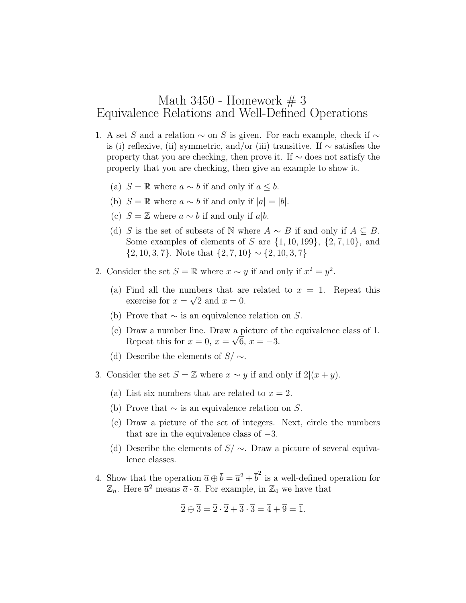## Math 3450 - Homework  $# 3$ Equivalence Relations and Well-Defined Operations

- 1. A set S and a relation  $\sim$  on S is given. For each example, check if  $\sim$ is (i) reflexive, (ii) symmetric, and/or (iii) transitive. If ∼ satisfies the property that you are checking, then prove it. If ∼ does not satisfy the property that you are checking, then give an example to show it.
	- (a)  $S = \mathbb{R}$  where  $a \sim b$  if and only if  $a \leq b$ .
	- (b)  $S = \mathbb{R}$  where  $a \sim b$  if and only if  $|a| = |b|$ .
	- (c)  $S = \mathbb{Z}$  where  $a \sim b$  if and only if a|b.
	- (d) S is the set of subsets of N where  $A \sim B$  if and only if  $A \subseteq B$ . Some examples of elements of S are  $\{1, 10, 199\}$ ,  $\{2, 7, 10\}$ , and  $\{2, 10, 3, 7\}$ . Note that  $\{2, 7, 10\} \sim \{2, 10, 3, 7\}$
- 2. Consider the set  $S = \mathbb{R}$  where  $x \sim y$  if and only if  $x^2 = y^2$ .
	- (a) Find all the numbers that are related to  $x = 1$ . Repeat this exercise for  $x = \sqrt{2}$  and  $x = 0$ .
	- (b) Prove that  $\sim$  is an equivalence relation on S.
	- (c) Draw a number line. Draw a picture of the equivalence class of 1. Repeat this for  $x = 0$ ,  $x = \sqrt{6}$ ,  $x = -3$ .
	- (d) Describe the elements of  $S/\sim$ .
- 3. Consider the set  $S = \mathbb{Z}$  where  $x \sim y$  if and only if  $2|(x + y)$ .
	- (a) List six numbers that are related to  $x = 2$ .
	- (b) Prove that  $\sim$  is an equivalence relation on S.
	- (c) Draw a picture of the set of integers. Next, circle the numbers that are in the equivalence class of  $-3$ .
	- (d) Describe the elements of  $S/\sim$ . Draw a picture of several equivalence classes.
- 4. Show that the operation  $\bar{a} \oplus \bar{b} = \bar{a}^2 + \bar{b}^2$  is a well-defined operation for  $\mathbb{Z}_n$ . Here  $\overline{a}^2$  means  $\overline{a} \cdot \overline{a}$ . For example, in  $\mathbb{Z}_4$  we have that

$$
\overline{2} \oplus \overline{3} = \overline{2} \cdot \overline{2} + \overline{3} \cdot \overline{3} = \overline{4} + \overline{9} = \overline{1}.
$$